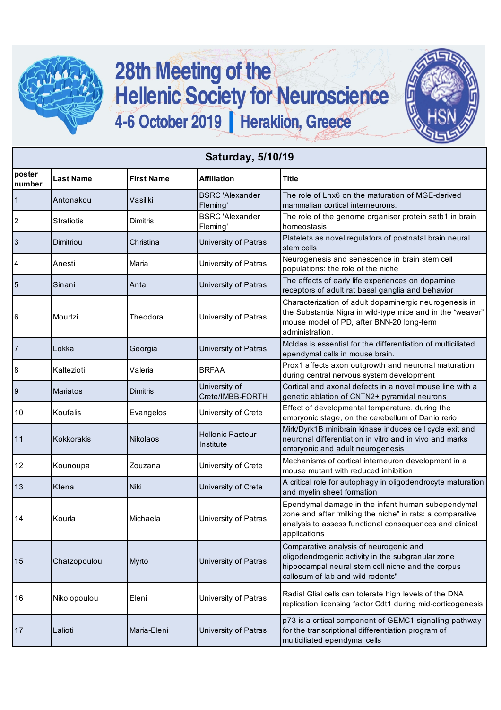

## 28th Meeting of the<br>Hellenic Society for Neuroscience 4-6 October 2019 | Heraklion, Greece



| <b>Saturday, 5/10/19</b> |                   |                   |                                      |                                                                                                                                                                                           |  |  |
|--------------------------|-------------------|-------------------|--------------------------------------|-------------------------------------------------------------------------------------------------------------------------------------------------------------------------------------------|--|--|
| poster<br>number         | <b>Last Name</b>  | <b>First Name</b> | <b>Affiliation</b>                   | <b>Title</b>                                                                                                                                                                              |  |  |
| $\mathbf{1}$             | Antonakou         | Vasiliki          | <b>BSRC</b> 'Alexander<br>Fleming'   | The role of Lhx6 on the maturation of MGE-derived<br>mammalian cortical interneurons.                                                                                                     |  |  |
| $\overline{2}$           | <b>Stratiotis</b> | <b>Dimitris</b>   | <b>BSRC</b> 'Alexander<br>Fleming'   | The role of the genome organiser protein satb1 in brain<br>homeostasis                                                                                                                    |  |  |
| $\mathbf{3}$             | Dimitriou         | Christina         | University of Patras                 | Platelets as novel regulators of postnatal brain neural<br>stem cells                                                                                                                     |  |  |
| 4                        | Anesti            | Maria             | University of Patras                 | Neurogenesis and senescence in brain stem cell<br>populations: the role of the niche                                                                                                      |  |  |
| $5\phantom{.0}$          | Sinani            | Anta              | University of Patras                 | The effects of early life experiences on dopamine<br>receptors of adult rat basal ganglia and behavior                                                                                    |  |  |
| 6                        | Mourtzi           | Theodora          | University of Patras                 | Characterization of adult dopaminergic neurogenesis in<br>the Substantia Nigra in wild-type mice and in the "weaver"<br>mouse model of PD, after BNN-20 long-term<br>administration.      |  |  |
| $\overline{7}$           | Lokka             | Georgia           | University of Patras                 | McIdas is essential for the differentiation of multiciliated<br>ependymal cells in mouse brain.                                                                                           |  |  |
| 8                        | Kaltezioti        | Valeria           | <b>BRFAA</b>                         | Prox1 affects axon outgrowth and neuronal maturation<br>during central nervous system development                                                                                         |  |  |
| $\boldsymbol{9}$         | <b>Mariatos</b>   | <b>Dimitris</b>   | University of<br>Crete/IMBB-FORTH    | Cortical and axonal defects in a novel mouse line with a<br>genetic ablation of CNTN2+ pyramidal neurons                                                                                  |  |  |
| 10                       | Koufalis          | Evangelos         | University of Crete                  | Effect of developmental temperature, during the<br>embryonic stage, on the cerebellum of Danio rerio                                                                                      |  |  |
| 11                       | <b>Kokkorakis</b> | Nikolaos          | <b>Hellenic Pasteur</b><br>Institute | Mirk/Dyrk1B minibrain kinase induces cell cycle exit and<br>neuronal differentiation in vitro and in vivo and marks<br>embryonic and adult neurogenesis                                   |  |  |
| 12                       | Kounoupa          | Zouzana           | University of Crete                  | Mechanisms of cortical interneuron development in a<br>mouse mutant with reduced inhibition                                                                                               |  |  |
| 13                       | Ktena             | Niki              | University of Crete                  | A critical role for autophagy in oligodendrocyte maturation<br>and myelin sheet formation                                                                                                 |  |  |
| 14                       | Kourla            | Michaela          | University of Patras                 | Ependymal damage in the infant human subependymal<br>zone and after "milking the niche" in rats: a comparative<br>analysis to assess functional consequences and clinical<br>applications |  |  |
| 15                       | Chatzopoulou      | Myrto             | University of Patras                 | Comparative analysis of neurogenic and<br>oligodendrogenic activity in the subgranular zone<br>hippocampal neural stem cell niche and the corpus<br>callosum of lab and wild rodents"     |  |  |
| 16                       | Nikolopoulou      | Eleni             | University of Patras                 | Radial Glial cells can tolerate high levels of the DNA<br>replication licensing factor Cdt1 during mid-corticogenesis                                                                     |  |  |
| 17                       | Lalioti           | Maria-Eleni       | University of Patras                 | p73 is a critical component of GEMC1 signalling pathway<br>for the transcriptional differentiation program of<br>multiciliated ependymal cells                                            |  |  |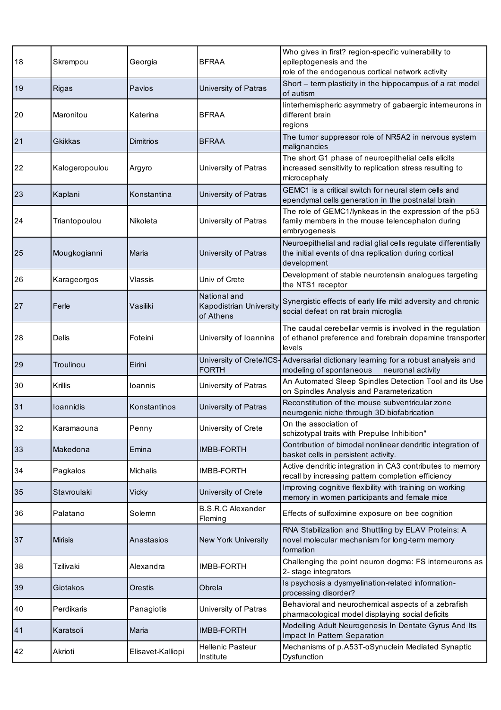| 18 | Skrempou       | Georgia           | <b>BFRAA</b>                                         | Who gives in first? region-specific vulnerability to<br>epileptogenesis and the<br>role of the endogenous cortical network activity    |
|----|----------------|-------------------|------------------------------------------------------|----------------------------------------------------------------------------------------------------------------------------------------|
| 19 | <b>Rigas</b>   | Paylos            | University of Patras                                 | Short - term plasticity in the hippocampus of a rat model<br>of autism                                                                 |
| 20 | Maronitou      | Katerina          | <b>BFRAA</b>                                         | linterhemispheric asymmetry of gabaergic interneurons in<br>different brain<br>regions                                                 |
| 21 | Gkikkas        | Dimitrios         | <b>BFRAA</b>                                         | The tumor suppressor role of NR5A2 in nervous system<br>malignancies                                                                   |
| 22 | Kalogeropoulou | Argyro            | University of Patras                                 | The short G1 phase of neuroepithelial cells elicits<br>increased sensitivity to replication stress resulting to<br>microcephaly        |
| 23 | Kaplani        | Konstantina       | University of Patras                                 | GEMC1 is a critical switch for neural stem cells and<br>ependymal cells generation in the postnatal brain                              |
| 24 | Triantopoulou  | Nikoleta          | University of Patras                                 | The role of GEMC1/lynkeas in the expression of the p53<br>family members in the mouse telencephalon during<br>embryogenesis            |
| 25 | Mougkogianni   | Maria             | University of Patras                                 | Neuroepithelial and radial glial cells regulate differentially<br>the initial events of dna replication during cortical<br>development |
| 26 | Karageorgos    | <b>Vlassis</b>    | Univ of Crete                                        | Development of stable neurotensin analogues targeting<br>the NTS1 receptor                                                             |
| 27 | Ferle          | Vasiliki          | National and<br>Kapodistrian University<br>of Athens | Synergistic effects of early life mild adversity and chronic<br>social defeat on rat brain microglia                                   |
| 28 | Delis          | Foteini           | University of Ioannina                               | The caudal cerebellar vermis is involved in the regulation<br>of ethanol preference and forebrain dopamine transporter<br>levels       |
| 29 | Troulinou      | Eirini            | University of Crete/ICS-<br><b>FORTH</b>             | Adversarial dictionary learning for a robust analysis and<br>modeling of spontaneous<br>neuronal activity                              |
| 30 | Krillis        | loannis           | University of Patras                                 | An Automated Sleep Spindles Detection Tool and its Use<br>on Spindles Analysis and Parameterization                                    |
| 31 | loannidis      | Konstantinos      | University of Patras                                 | Reconstitution of the mouse subventricular zone<br>neurogenic niche through 3D biofabrication                                          |
| 32 | Karamaouna     | Penny             | University of Crete                                  | On the association of<br>schizotypal traits with Prepulse Inhibition"                                                                  |
| 33 | Makedona       | Emina             | <b>IMBB-FORTH</b>                                    | Contribution of bimodal nonlinear dendritic integration of<br>basket cells in persistent activity.                                     |
| 34 | Pagkalos       | <b>Michalis</b>   | <b>IMBB-FORTH</b>                                    | Active dendritic integration in CA3 contributes to memory<br>recall by increasing pattern completion efficiency                        |
| 35 | Stavroulaki    | Vicky             | University of Crete                                  | Improving cognitive flexibility with training on working<br>memory in women participants and female mice                               |
| 36 | Palatano       | Solemn            | <b>B.S.R.C Alexander</b><br>Fleming                  | Effects of sulfoximine exposure on bee cognition                                                                                       |
| 37 | <b>Mirisis</b> | Anastasios        | New York University                                  | RNA Stabilization and Shuttling by ELAV Proteins: A<br>novel molecular mechanism for long-term memory<br>formation                     |
| 38 | Tzilivaki      | Alexandra         | <b>IMBB-FORTH</b>                                    | Challenging the point neuron dogma: FS interneurons as<br>2- stage integrators                                                         |
| 39 | Giotakos       | Orestis           | Obrela                                               | Is psychosis a dysmyelination-related information-<br>processing disorder?                                                             |
| 40 | Perdikaris     | Panagiotis        | University of Patras                                 | Behavioral and neurochemical aspects of a zebrafish<br>pharmacological model displaying social deficits                                |
| 41 | Karatsoli      | Maria             | <b>IMBB-FORTH</b>                                    | Modelling Adult Neurogenesis In Dentate Gyrus And Its<br>Impact In Pattern Separation                                                  |
| 42 | Akrioti        | Elisavet-Kalliopi | <b>Hellenic Pasteur</b><br>Institute                 | Mechanisms of p.A53T-aSynuclein Mediated Synaptic<br>Dysfunction                                                                       |